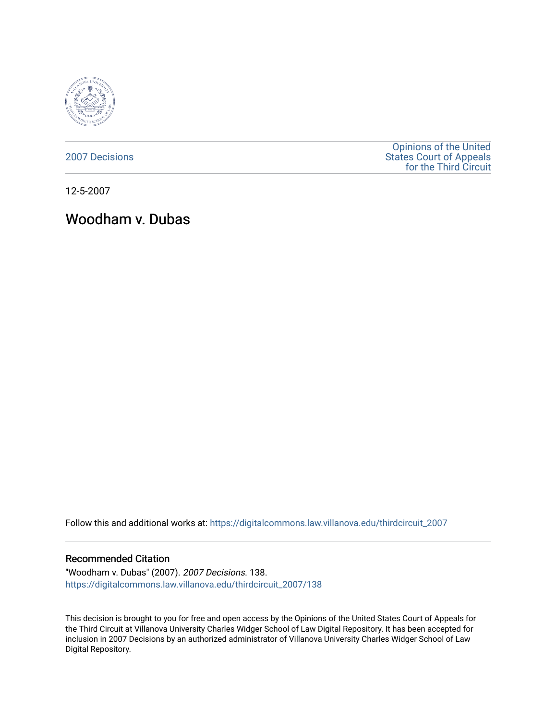

[2007 Decisions](https://digitalcommons.law.villanova.edu/thirdcircuit_2007)

[Opinions of the United](https://digitalcommons.law.villanova.edu/thirdcircuit)  [States Court of Appeals](https://digitalcommons.law.villanova.edu/thirdcircuit)  [for the Third Circuit](https://digitalcommons.law.villanova.edu/thirdcircuit) 

12-5-2007

# Woodham v. Dubas

Follow this and additional works at: [https://digitalcommons.law.villanova.edu/thirdcircuit\\_2007](https://digitalcommons.law.villanova.edu/thirdcircuit_2007?utm_source=digitalcommons.law.villanova.edu%2Fthirdcircuit_2007%2F138&utm_medium=PDF&utm_campaign=PDFCoverPages) 

#### Recommended Citation

"Woodham v. Dubas" (2007). 2007 Decisions. 138. [https://digitalcommons.law.villanova.edu/thirdcircuit\\_2007/138](https://digitalcommons.law.villanova.edu/thirdcircuit_2007/138?utm_source=digitalcommons.law.villanova.edu%2Fthirdcircuit_2007%2F138&utm_medium=PDF&utm_campaign=PDFCoverPages)

This decision is brought to you for free and open access by the Opinions of the United States Court of Appeals for the Third Circuit at Villanova University Charles Widger School of Law Digital Repository. It has been accepted for inclusion in 2007 Decisions by an authorized administrator of Villanova University Charles Widger School of Law Digital Repository.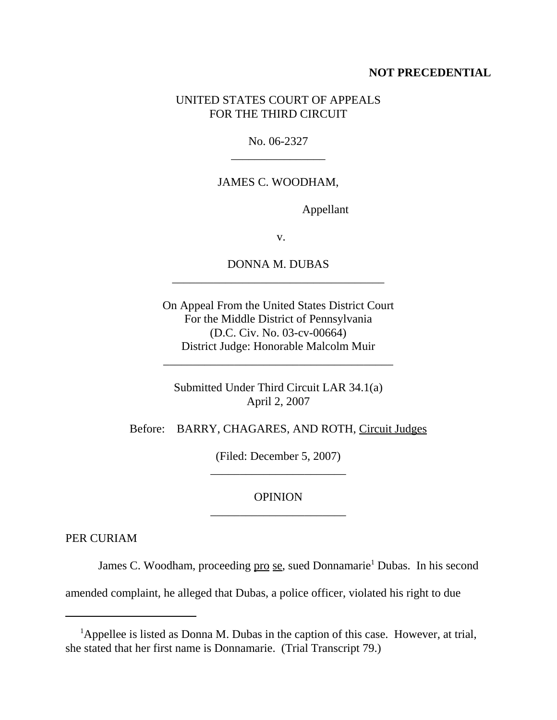### **NOT PRECEDENTIAL**

### UNITED STATES COURT OF APPEALS FOR THE THIRD CIRCUIT

No. 06-2327 \_\_\_\_\_\_\_\_\_\_\_\_\_\_\_\_

# JAMES C. WOODHAM,

Appellant

v.

## DONNA M. DUBAS \_\_\_\_\_\_\_\_\_\_\_\_\_\_\_\_\_\_\_\_\_\_\_\_\_\_\_\_\_\_\_\_\_\_\_\_

On Appeal From the United States District Court For the Middle District of Pennsylvania (D.C. Civ. No. 03-cv-00664) District Judge: Honorable Malcolm Muir

Submitted Under Third Circuit LAR 34.1(a) April 2, 2007

\_\_\_\_\_\_\_\_\_\_\_\_\_\_\_\_\_\_\_\_\_\_\_\_\_\_\_\_\_\_\_\_\_\_\_\_\_\_\_

Before: BARRY, CHAGARES, AND ROTH, Circuit Judges

(Filed: December 5, 2007) \_\_\_\_\_\_\_\_\_\_\_\_\_\_\_\_\_\_\_\_\_\_\_

**OPINION** \_\_\_\_\_\_\_\_\_\_\_\_\_\_\_\_\_\_\_\_\_\_\_

PER CURIAM

James C. Woodham, proceeding pro se, sued Donnamarie<sup>1</sup> Dubas. In his second

amended complaint, he alleged that Dubas, a police officer, violated his right to due

<sup>&</sup>lt;sup>1</sup>Appellee is listed as Donna M. Dubas in the caption of this case. However, at trial, she stated that her first name is Donnamarie. (Trial Transcript 79.)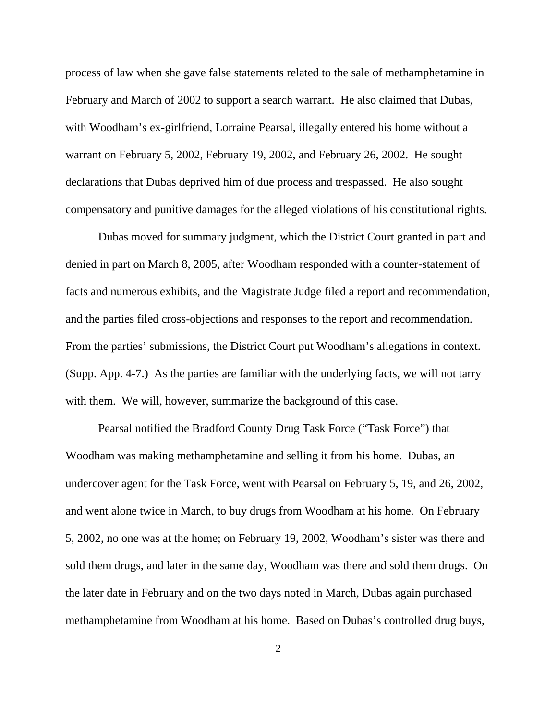process of law when she gave false statements related to the sale of methamphetamine in February and March of 2002 to support a search warrant. He also claimed that Dubas, with Woodham's ex-girlfriend, Lorraine Pearsal, illegally entered his home without a warrant on February 5, 2002, February 19, 2002, and February 26, 2002. He sought declarations that Dubas deprived him of due process and trespassed. He also sought compensatory and punitive damages for the alleged violations of his constitutional rights.

Dubas moved for summary judgment, which the District Court granted in part and denied in part on March 8, 2005, after Woodham responded with a counter-statement of facts and numerous exhibits, and the Magistrate Judge filed a report and recommendation, and the parties filed cross-objections and responses to the report and recommendation. From the parties' submissions, the District Court put Woodham's allegations in context. (Supp. App. 4-7.) As the parties are familiar with the underlying facts, we will not tarry with them. We will, however, summarize the background of this case.

Pearsal notified the Bradford County Drug Task Force ("Task Force") that Woodham was making methamphetamine and selling it from his home. Dubas, an undercover agent for the Task Force, went with Pearsal on February 5, 19, and 26, 2002, and went alone twice in March, to buy drugs from Woodham at his home. On February 5, 2002, no one was at the home; on February 19, 2002, Woodham's sister was there and sold them drugs, and later in the same day, Woodham was there and sold them drugs. On the later date in February and on the two days noted in March, Dubas again purchased methamphetamine from Woodham at his home. Based on Dubas's controlled drug buys,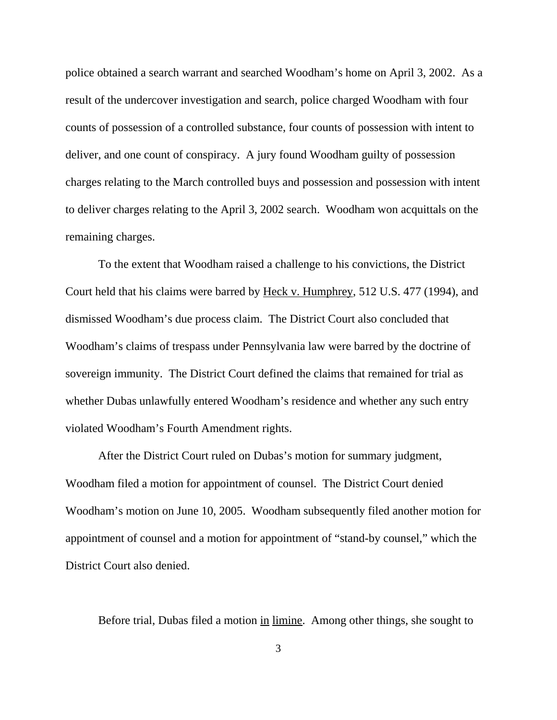police obtained a search warrant and searched Woodham's home on April 3, 2002. As a result of the undercover investigation and search, police charged Woodham with four counts of possession of a controlled substance, four counts of possession with intent to deliver, and one count of conspiracy. A jury found Woodham guilty of possession charges relating to the March controlled buys and possession and possession with intent to deliver charges relating to the April 3, 2002 search. Woodham won acquittals on the remaining charges.

To the extent that Woodham raised a challenge to his convictions, the District Court held that his claims were barred by Heck v. Humphrey, 512 U.S. 477 (1994), and dismissed Woodham's due process claim. The District Court also concluded that Woodham's claims of trespass under Pennsylvania law were barred by the doctrine of sovereign immunity. The District Court defined the claims that remained for trial as whether Dubas unlawfully entered Woodham's residence and whether any such entry violated Woodham's Fourth Amendment rights.

After the District Court ruled on Dubas's motion for summary judgment, Woodham filed a motion for appointment of counsel. The District Court denied Woodham's motion on June 10, 2005. Woodham subsequently filed another motion for appointment of counsel and a motion for appointment of "stand-by counsel," which the District Court also denied.

Before trial, Dubas filed a motion in limine. Among other things, she sought to

3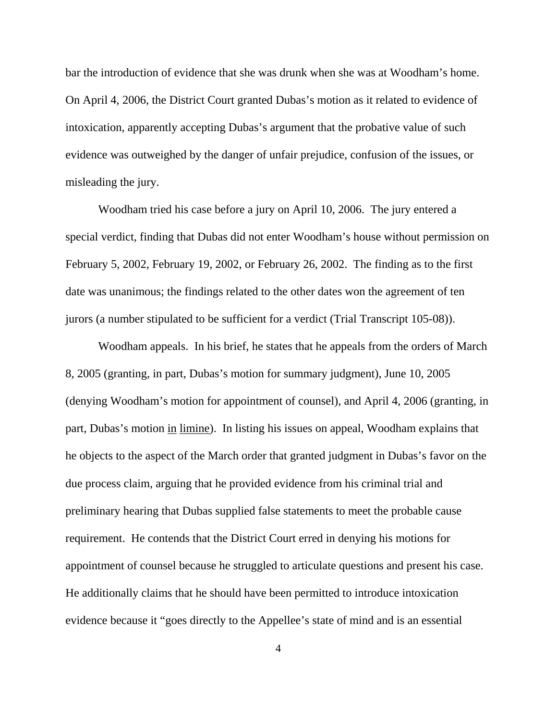bar the introduction of evidence that she was drunk when she was at Woodham's home. On April 4, 2006, the District Court granted Dubas's motion as it related to evidence of intoxication, apparently accepting Dubas's argument that the probative value of such evidence was outweighed by the danger of unfair prejudice, confusion of the issues, or misleading the jury.

Woodham tried his case before a jury on April 10, 2006. The jury entered a special verdict, finding that Dubas did not enter Woodham's house without permission on February 5, 2002, February 19, 2002, or February 26, 2002. The finding as to the first date was unanimous; the findings related to the other dates won the agreement of ten jurors (a number stipulated to be sufficient for a verdict (Trial Transcript 105-08)).

Woodham appeals. In his brief, he states that he appeals from the orders of March 8, 2005 (granting, in part, Dubas's motion for summary judgment), June 10, 2005 (denying Woodham's motion for appointment of counsel), and April 4, 2006 (granting, in part, Dubas's motion in limine). In listing his issues on appeal, Woodham explains that he objects to the aspect of the March order that granted judgment in Dubas's favor on the due process claim, arguing that he provided evidence from his criminal trial and preliminary hearing that Dubas supplied false statements to meet the probable cause requirement. He contends that the District Court erred in denying his motions for appointment of counsel because he struggled to articulate questions and present his case. He additionally claims that he should have been permitted to introduce intoxication evidence because it "goes directly to the Appellee's state of mind and is an essential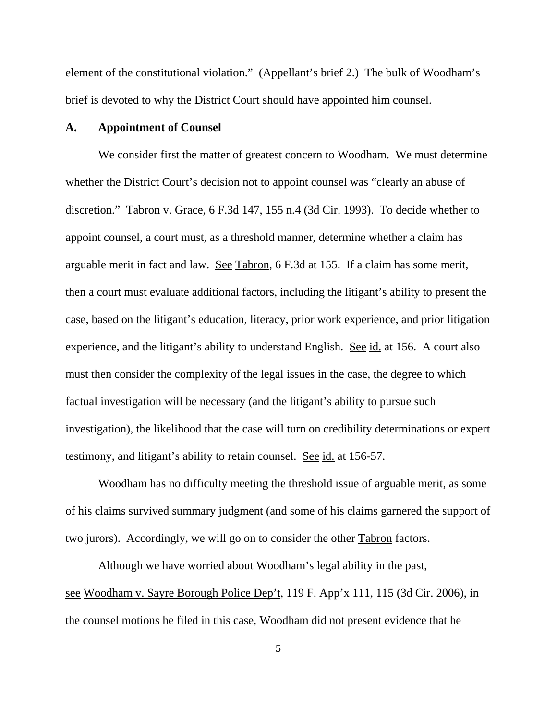element of the constitutional violation." (Appellant's brief 2.) The bulk of Woodham's brief is devoted to why the District Court should have appointed him counsel.

### **A. Appointment of Counsel**

We consider first the matter of greatest concern to Woodham. We must determine whether the District Court's decision not to appoint counsel was "clearly an abuse of discretion." Tabron v. Grace, 6 F.3d 147, 155 n.4 (3d Cir. 1993). To decide whether to appoint counsel, a court must, as a threshold manner, determine whether a claim has arguable merit in fact and law. See Tabron, 6 F.3d at 155. If a claim has some merit, then a court must evaluate additional factors, including the litigant's ability to present the case, based on the litigant's education, literacy, prior work experience, and prior litigation experience, and the litigant's ability to understand English. See id. at 156. A court also must then consider the complexity of the legal issues in the case, the degree to which factual investigation will be necessary (and the litigant's ability to pursue such investigation), the likelihood that the case will turn on credibility determinations or expert testimony, and litigant's ability to retain counsel. See id. at 156-57.

Woodham has no difficulty meeting the threshold issue of arguable merit, as some of his claims survived summary judgment (and some of his claims garnered the support of two jurors). Accordingly, we will go on to consider the other Tabron factors.

Although we have worried about Woodham's legal ability in the past, see Woodham v. Sayre Borough Police Dep't, 119 F. App'x 111, 115 (3d Cir. 2006), in the counsel motions he filed in this case, Woodham did not present evidence that he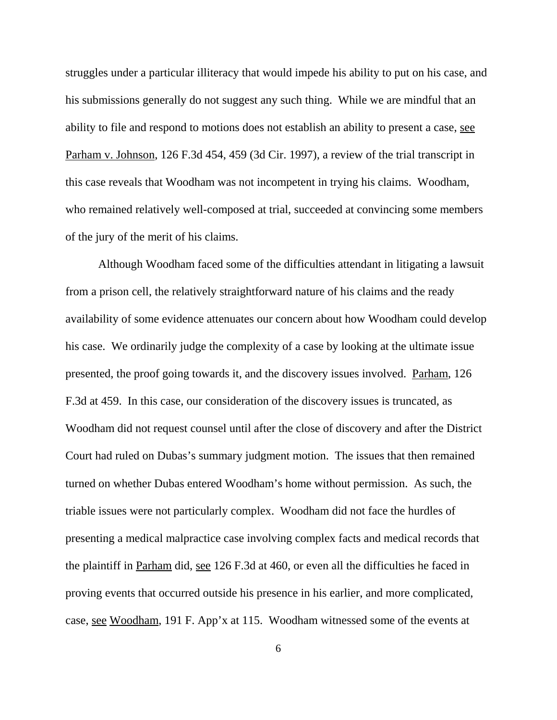struggles under a particular illiteracy that would impede his ability to put on his case, and his submissions generally do not suggest any such thing. While we are mindful that an ability to file and respond to motions does not establish an ability to present a case, see Parham v. Johnson, 126 F.3d 454, 459 (3d Cir. 1997), a review of the trial transcript in this case reveals that Woodham was not incompetent in trying his claims. Woodham, who remained relatively well-composed at trial, succeeded at convincing some members of the jury of the merit of his claims.

Although Woodham faced some of the difficulties attendant in litigating a lawsuit from a prison cell, the relatively straightforward nature of his claims and the ready availability of some evidence attenuates our concern about how Woodham could develop his case. We ordinarily judge the complexity of a case by looking at the ultimate issue presented, the proof going towards it, and the discovery issues involved. Parham, 126 F.3d at 459. In this case, our consideration of the discovery issues is truncated, as Woodham did not request counsel until after the close of discovery and after the District Court had ruled on Dubas's summary judgment motion. The issues that then remained turned on whether Dubas entered Woodham's home without permission. As such, the triable issues were not particularly complex. Woodham did not face the hurdles of presenting a medical malpractice case involving complex facts and medical records that the plaintiff in Parham did, see 126 F.3d at 460, or even all the difficulties he faced in proving events that occurred outside his presence in his earlier, and more complicated, case, see Woodham, 191 F. App'x at 115. Woodham witnessed some of the events at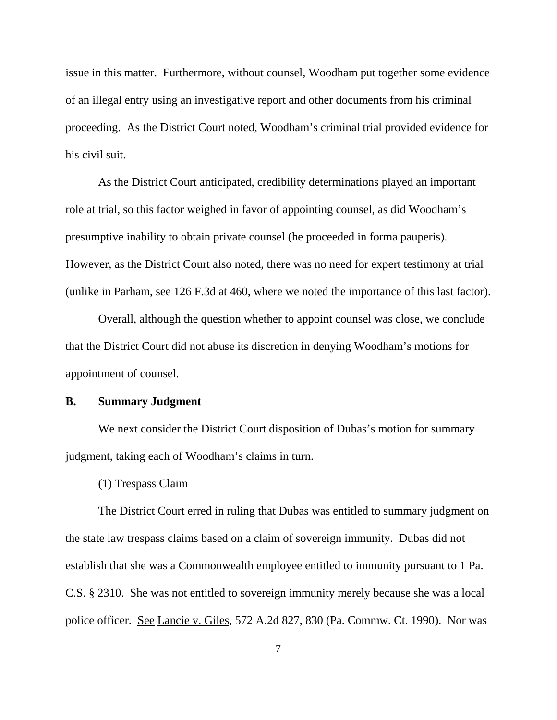issue in this matter. Furthermore, without counsel, Woodham put together some evidence of an illegal entry using an investigative report and other documents from his criminal proceeding. As the District Court noted, Woodham's criminal trial provided evidence for his civil suit.

As the District Court anticipated, credibility determinations played an important role at trial, so this factor weighed in favor of appointing counsel, as did Woodham's presumptive inability to obtain private counsel (he proceeded in forma pauperis). However, as the District Court also noted, there was no need for expert testimony at trial (unlike in Parham, see 126 F.3d at 460, where we noted the importance of this last factor).

Overall, although the question whether to appoint counsel was close, we conclude that the District Court did not abuse its discretion in denying Woodham's motions for appointment of counsel.

### **B. Summary Judgment**

We next consider the District Court disposition of Dubas's motion for summary judgment, taking each of Woodham's claims in turn.

(1) Trespass Claim

The District Court erred in ruling that Dubas was entitled to summary judgment on the state law trespass claims based on a claim of sovereign immunity. Dubas did not establish that she was a Commonwealth employee entitled to immunity pursuant to 1 Pa. C.S. § 2310. She was not entitled to sovereign immunity merely because she was a local police officer. See Lancie v. Giles, 572 A.2d 827, 830 (Pa. Commw. Ct. 1990). Nor was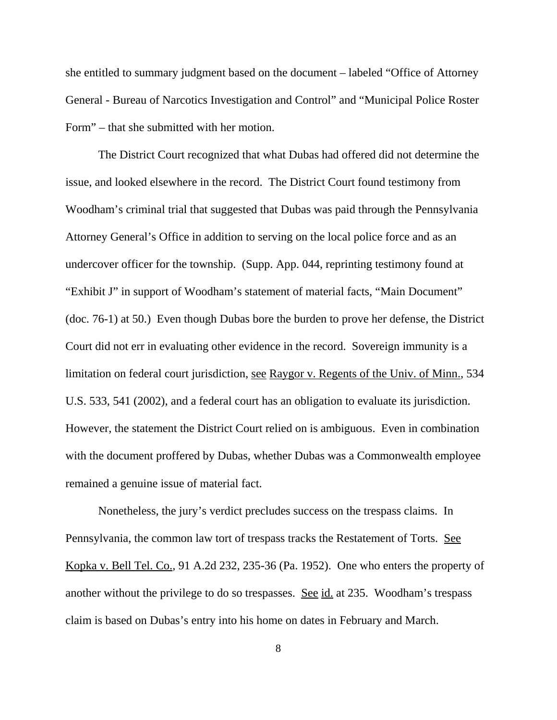she entitled to summary judgment based on the document – labeled "Office of Attorney General - Bureau of Narcotics Investigation and Control" and "Municipal Police Roster Form" – that she submitted with her motion.

The District Court recognized that what Dubas had offered did not determine the issue, and looked elsewhere in the record. The District Court found testimony from Woodham's criminal trial that suggested that Dubas was paid through the Pennsylvania Attorney General's Office in addition to serving on the local police force and as an undercover officer for the township. (Supp. App. 044, reprinting testimony found at "Exhibit J" in support of Woodham's statement of material facts, "Main Document" (doc. 76-1) at 50.) Even though Dubas bore the burden to prove her defense, the District Court did not err in evaluating other evidence in the record. Sovereign immunity is a limitation on federal court jurisdiction, see Raygor v. Regents of the Univ. of Minn., 534 U.S. 533, 541 (2002), and a federal court has an obligation to evaluate its jurisdiction. However, the statement the District Court relied on is ambiguous. Even in combination with the document proffered by Dubas, whether Dubas was a Commonwealth employee remained a genuine issue of material fact.

Nonetheless, the jury's verdict precludes success on the trespass claims. In Pennsylvania, the common law tort of trespass tracks the Restatement of Torts. See Kopka v. Bell Tel. Co., 91 A.2d 232, 235-36 (Pa. 1952). One who enters the property of another without the privilege to do so trespasses. See id. at 235. Woodham's trespass claim is based on Dubas's entry into his home on dates in February and March.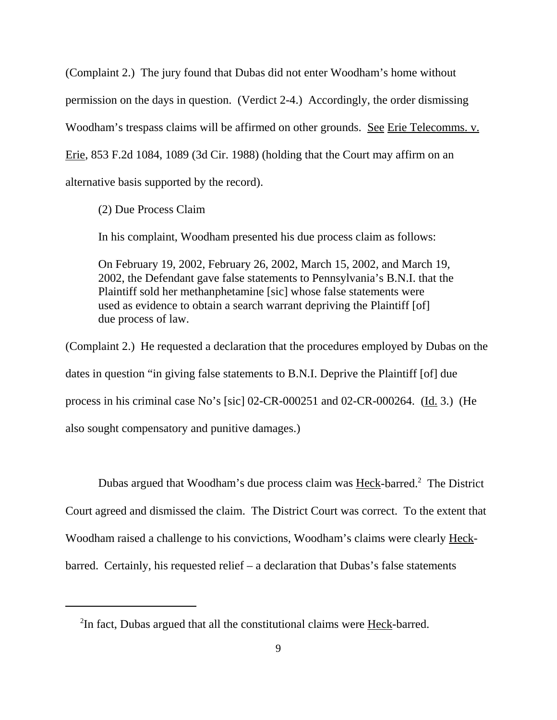(Complaint 2.) The jury found that Dubas did not enter Woodham's home without permission on the days in question. (Verdict 2-4.) Accordingly, the order dismissing Woodham's trespass claims will be affirmed on other grounds. See Erie Telecomms. v. Erie, 853 F.2d 1084, 1089 (3d Cir. 1988) (holding that the Court may affirm on an alternative basis supported by the record).

(2) Due Process Claim

In his complaint, Woodham presented his due process claim as follows:

On February 19, 2002, February 26, 2002, March 15, 2002, and March 19, 2002, the Defendant gave false statements to Pennsylvania's B.N.I. that the Plaintiff sold her methanphetamine [sic] whose false statements were used as evidence to obtain a search warrant depriving the Plaintiff [of] due process of law.

(Complaint 2.) He requested a declaration that the procedures employed by Dubas on the dates in question "in giving false statements to B.N.I. Deprive the Plaintiff [of] due process in his criminal case No's [sic] 02-CR-000251 and 02-CR-000264. (Id. 3.) (He also sought compensatory and punitive damages.)

Dubas argued that Woodham's due process claim was **Heck-barred.**<sup>2</sup> The District Court agreed and dismissed the claim. The District Court was correct. To the extent that Woodham raised a challenge to his convictions, Woodham's claims were clearly Heckbarred. Certainly, his requested relief – a declaration that Dubas's false statements

<sup>&</sup>lt;sup>2</sup>In fact, Dubas argued that all the constitutional claims were **Heck-barred**.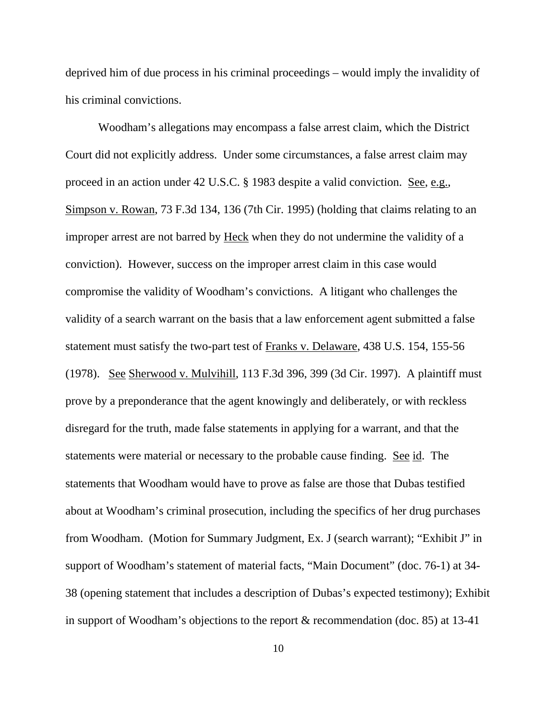deprived him of due process in his criminal proceedings – would imply the invalidity of his criminal convictions.

Woodham's allegations may encompass a false arrest claim, which the District Court did not explicitly address. Under some circumstances, a false arrest claim may proceed in an action under 42 U.S.C. § 1983 despite a valid conviction. See, e.g., Simpson v. Rowan, 73 F.3d 134, 136 (7th Cir. 1995) (holding that claims relating to an improper arrest are not barred by Heck when they do not undermine the validity of a conviction). However, success on the improper arrest claim in this case would compromise the validity of Woodham's convictions. A litigant who challenges the validity of a search warrant on the basis that a law enforcement agent submitted a false statement must satisfy the two-part test of Franks v. Delaware, 438 U.S. 154, 155-56 (1978). See Sherwood v. Mulvihill, 113 F.3d 396, 399 (3d Cir. 1997). A plaintiff must prove by a preponderance that the agent knowingly and deliberately, or with reckless disregard for the truth, made false statements in applying for a warrant, and that the statements were material or necessary to the probable cause finding. See id. The statements that Woodham would have to prove as false are those that Dubas testified about at Woodham's criminal prosecution, including the specifics of her drug purchases from Woodham. (Motion for Summary Judgment, Ex. J (search warrant); "Exhibit J" in support of Woodham's statement of material facts, "Main Document" (doc. 76-1) at 34- 38 (opening statement that includes a description of Dubas's expected testimony); Exhibit in support of Woodham's objections to the report & recommendation (doc. 85) at 13-41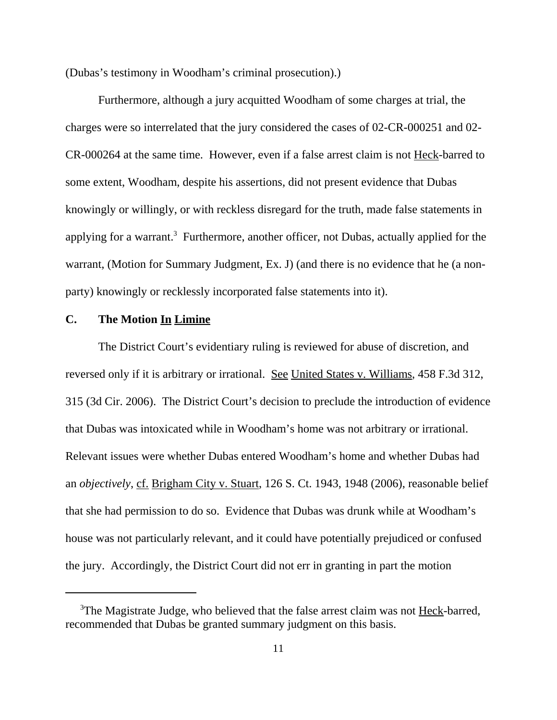(Dubas's testimony in Woodham's criminal prosecution).)

Furthermore, although a jury acquitted Woodham of some charges at trial, the charges were so interrelated that the jury considered the cases of 02-CR-000251 and 02- CR-000264 at the same time. However, even if a false arrest claim is not Heck-barred to some extent, Woodham, despite his assertions, did not present evidence that Dubas knowingly or willingly, or with reckless disregard for the truth, made false statements in applying for a warrant.<sup>3</sup> Furthermore, another officer, not Dubas, actually applied for the warrant, (Motion for Summary Judgment, Ex. J) (and there is no evidence that he (a nonparty) knowingly or recklessly incorporated false statements into it).

### **C. The Motion In Limine**

The District Court's evidentiary ruling is reviewed for abuse of discretion, and reversed only if it is arbitrary or irrational. See United States v. Williams, 458 F.3d 312, 315 (3d Cir. 2006). The District Court's decision to preclude the introduction of evidence that Dubas was intoxicated while in Woodham's home was not arbitrary or irrational. Relevant issues were whether Dubas entered Woodham's home and whether Dubas had an *objectively*, cf. Brigham City v. Stuart, 126 S. Ct. 1943, 1948 (2006), reasonable belief that she had permission to do so. Evidence that Dubas was drunk while at Woodham's house was not particularly relevant, and it could have potentially prejudiced or confused the jury. Accordingly, the District Court did not err in granting in part the motion

<sup>&</sup>lt;sup>3</sup>The Magistrate Judge, who believed that the false arrest claim was not Heck-barred, recommended that Dubas be granted summary judgment on this basis.